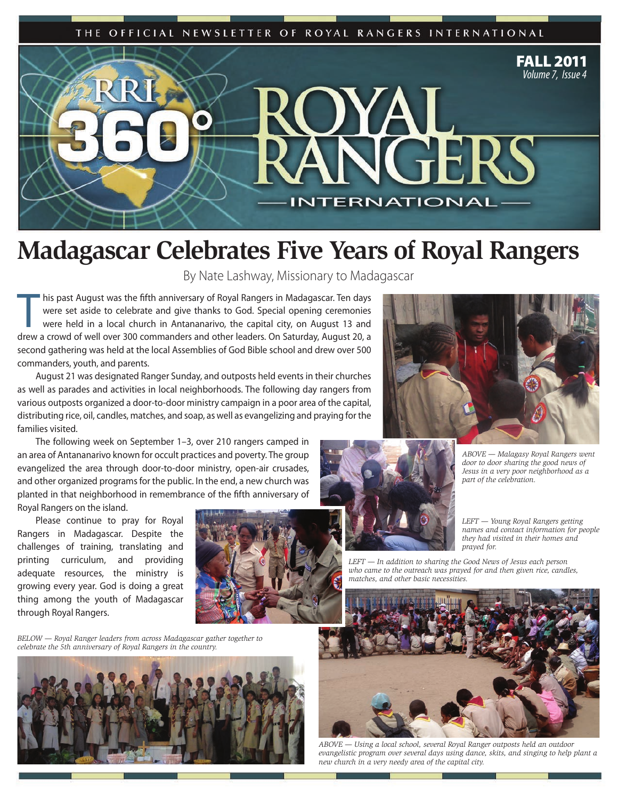



## **Madagascar Celebrates Five Years of Royal Rangers**

By Nate Lashway, Missionary to Madagascar

This past August was the fifth anniversary of Royal Rangers in Madagascar. Ten days<br>were set aside to celebrate and give thanks to God. Special opening ceremonies<br>were held in a local church in Antananarivo, the capital ci were set aside to celebrate and give thanks to God. Special opening ceremonies were held in a local church in Antananarivo, the capital city, on August 13 and drew a crowd of well over 300 commanders and other leaders. On Saturday, August 20, a second gathering was held at the local Assemblies of God Bible school and drew over 500 commanders, youth, and parents.

August 21 was designated Ranger Sunday, and outposts held events in their churches as well as parades and activities in local neighborhoods. The following day rangers from various outposts organized a door-to-door ministry campaign in a poor area of the capital, distributing rice, oil, candles, matches, and soap, as well as evangelizing and praying for the families visited.

The following week on September 1–3, over 210 rangers camped in an area of Antananarivo known for occult practices and poverty. The group evangelized the area through door-to-door ministry, open-air crusades, and other organized programs for the public. In the end, a new church was planted in that neighborhood in remembrance of the fifth anniversary of Royal Rangers on the island.

Please continue to pray for Royal Rangers in Madagascar. Despite the challenges of training, translating and printing curriculum, and providing adequate resources, the ministry is growing every year. God is doing a great thing among the youth of Madagascar through Royal Rangers.

*BELOW — Royal Ranger leaders from across Madagascar gather together to celebrate the 5th anniversary of Royal Rangers in the country.*







*ABOVE — Malagasy Royal Rangers went door to door sharing the good news of Jesus in a very poor neighborhood as a part of the celebration.* 

*LEFT — Young Royal Rangers getting names and contact information for people they had visited in their homes and prayed for.*

*LEFT — In addition to sharing the Good News of Jesus each person who came to the outreach was prayed for and then given rice, candles, matches, and other basic necessities.*



*ABOVE — Using a local school, several Royal Ranger outposts held an outdoor evangelistic program over several days using dance, skits, and singing to help plant a new church in a very needy area of the capital city.*